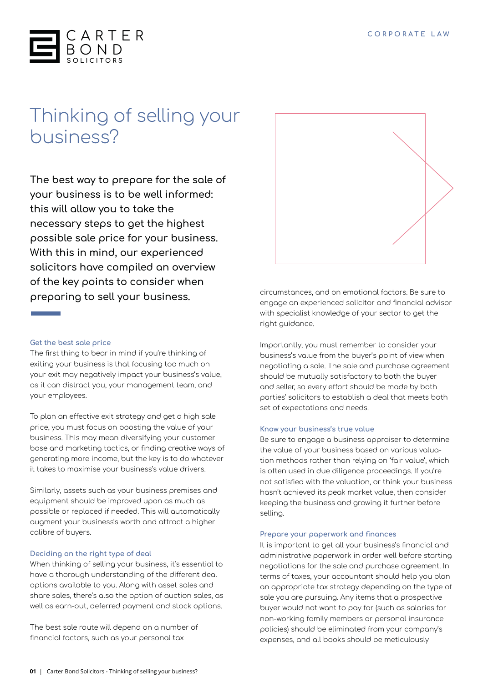

# Thinking of selling your business?

**The best way to prepare for the sale of your business is to be well informed: this will allow you to take the necessary steps to get the highest possible sale price for your business. With this in mind, our experienced solicitors have compiled an overview of the key points to consider when preparing to sell your business.**

# **Get the best sale price**

The first thing to bear in mind if you're thinking of exiting your business is that focusing too much on your exit may negatively impact your business's value, as it can distract you, your management team, and your employees.

To plan an effective exit strategy and get a high sale price, you must focus on boosting the value of your business. This may mean diversifying your customer base and marketing tactics, or finding creative ways of generating more income, but the key is to do whatever it takes to maximise your business's value drivers.

Similarly, assets such as your business premises and equipment should be improved upon as much as possible or replaced if needed. This will automatically augment your business's worth and attract a higher calibre of buyers.

# **Deciding on the right type of deal**

When thinking of selling your business, it's essential to have a thorough understanding of the different deal options available to you. Along with asset sales and share sales, there's also the option of auction sales, as well as earn-out, deferred payment and stock options.

The best sale route will depend on a number of financial factors, such as your personal tax



circumstances, and on emotional factors. Be sure to engage an experienced solicitor and financial advisor with specialist knowledge of your sector to get the right guidance.

Importantly, you must remember to consider your business's value from the buyer's point of view when negotiating a sale. The sale and purchase agreement should be mutually satisfactory to both the buyer and seller, so every effort should be made by both parties' solicitors to establish a deal that meets both set of expectations and needs.

#### **Know your business's true value**

Be sure to engage a business appraiser to determine the value of your business based on various valuation methods rather than relying on 'fair value', which is often used in due diligence proceedings. If you're not satisfied with the valuation, or think your business hasn't achieved its peak market value, then consider keeping the business and growing it further before selling.

#### **Prepare your paperwork and finances**

It is important to get all your business's financial and administrative paperwork in order well before starting negotiations for the sale and purchase agreement. In terms of taxes, your accountant should help you plan an appropriate tax strategy depending on the type of sale you are pursuing. Any items that a prospective buyer would not want to pay for (such as salaries for non-working family members or personal insurance policies) should be eliminated from your company's expenses, and all books should be meticulously